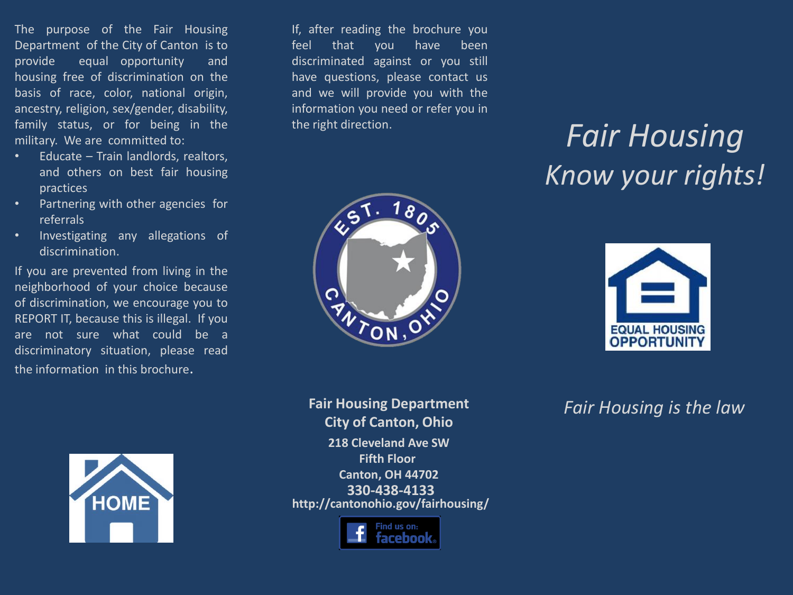The purpose of the Fair Housing Department of the City of Canton is to provide equal opportunity and housing free of discrimination on the basis of race, color, national origin, ancestry, religion, sex/gender, disability, family status, or for being in the military. We are committed to:

- Educate Train landlords, realtors, and others on best fair housing practices
- Partnering with other agencies for referrals
- Investigating any allegations of discrimination.

If you are prevented from living in the neighborhood of your choice because of discrimination, we encourage you to REPORT IT, because this is illegal. If you are not sure what could be a discriminatory situation, please read the information in this brochure.



If, after reading the brochure you feel that you have been discriminated against or you still have questions, please contact us and we will provide you with the information you need or refer you in the right direction.



*Fair Housing Know your rights!*



**330-438-4133 Fair Housing Department City of Canton, Ohio 218 Cleveland Ave SW Fifth Floor Canton, OH 44702 http://cantonohio.gov/fairhousing/**

ind us on:

*Fair Housing is the law*